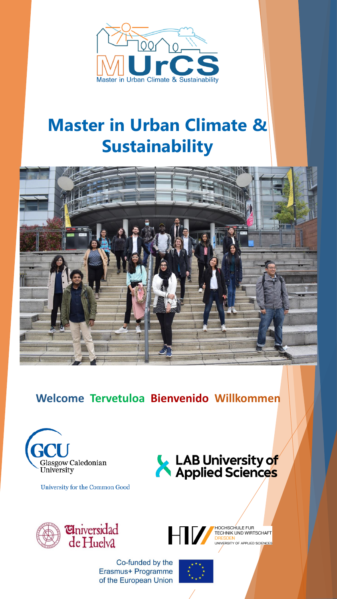

# **Master in Urban Climate & Sustainability**



**Welcome Tervetuloa Bienvenido Willkommen**



University for the Common Good





HV

Co-funded by the Erasmus+ Programme of the European Union



HOCHSCHULE FUR TECHNIK UND WIRTSCHAFT UNIVERSITY OF APPLIED SCIENCES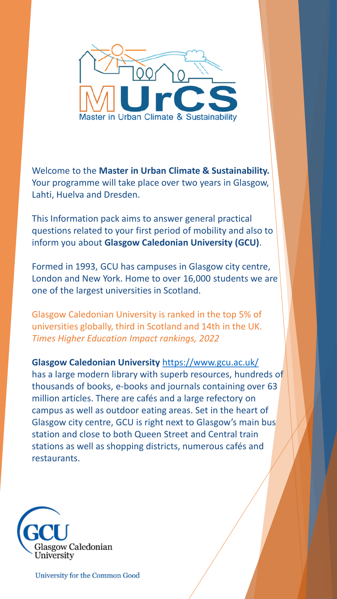

Welcome to the **Master in Urban Climate & Sustainability.** Your programme will take place over two years in Glasgow, Lahti, Huelva and Dresden.

This Information pack aims to answer general practical questions related to your first period of mobility and also to inform you about **Glasgow Caledonian University (GCU)**.

Formed in 1993, GCU has campuses in Glasgow city centre, London and New York. Home to over 16,000 students we are one of the largest universities in Scotland.

Glasgow Caledonian University is ranked in the top 5% of universities globally, third in Scotland and 14th in the UK. *Times Higher Education Impact rankings, 2022*

**Glasgow Caledonian University** <https://www.gcu.ac.uk/> has a large modern library with superb resources, hundreds of thousands of books, e-books and journals containing over 63 million articles. There are cafés and a large refectory on campus as well as outdoor eating areas. Set in the heart of Glasgow city centre, GCU is right next to Glasgow's main bus station and close to both Queen Street and Central train stations as well as shopping districts, numerous cafés and restaurants.

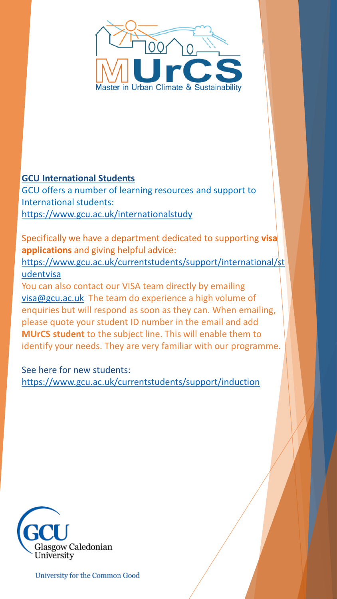

#### **GCU International Students**

GCU offers a number of learning resources and support to International students: <https://www.gcu.ac.uk/internationalstudy>

Specifically we have a department dedicated to supporting **visa applications** and giving helpful advice:

[https://www.gcu.ac.uk/currentstudents/support/international/st](https://www.gcu.ac.uk/currentstudents/support/international/studentvisa) udentvisa

You can also contact our VISA team directly by emailing [visa@gcu.ac.uk](mailto:visa@gcu.ac.uk) The team do experience a high volume of enquiries but will respond as soon as they can. When emailing, please quote your student ID number in the email and add **MUrCS student** to the subject line. This will enable them to identify your needs. They are very familiar with our programme.

See here for new students: <https://www.gcu.ac.uk/currentstudents/support/induction>

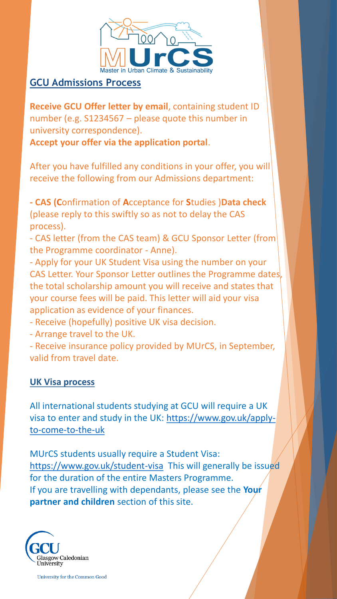

#### **GCU Admissions Process**

**Receive GCU Offer letter by email**, containing student ID number (e.g. S1234567 – please quote this number in university correspondence).

**Accept your offer via the application portal**.

After you have fulfilled any conditions in your offer, you will receive the following from our Admissions department:

**- CAS (C**onfirmation of **A**cceptance for **S**tudies )**Data check**  (please reply to this swiftly so as not to delay the CAS process).

- CAS letter (from the CAS team) & GCU Sponsor Letter (from the Programme coordinator - Anne).

- Apply for your UK Student Visa using the number on your CAS Letter. Your Sponsor Letter outlines the Programme dates, the total scholarship amount you will receive and states that your course fees will be paid. This letter will aid your visa application as evidence of your finances.

- Receive (hopefully) positive UK visa decision.

- Arrange travel to the UK.

- Receive insurance policy provided by MUrCS, in September, valid from travel date.

#### **UK Visa process**

All international students studying at GCU will require a UK [visa to enter and study in the UK: https://www.gov.uk/apply](https://www.gov.uk/apply-to-come-to-the-uk)to-come-to-the-uk

MUrCS students usually require a Student Visa: <https://www.gov.uk/student-visa> This will generally be issued for the duration of the entire Masters Programme. If you are travelling with dependants, please see the **Your partner and children** section of this site.

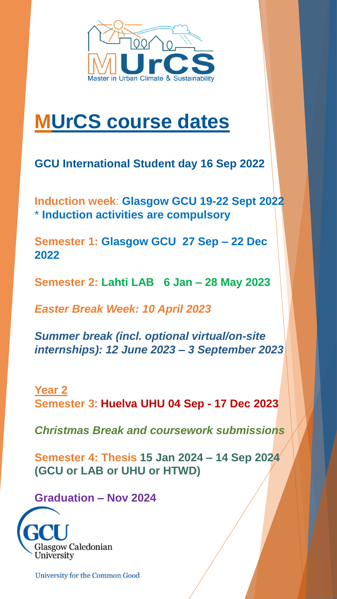

# **MUrCS course dates**

**GCU International Student day 16 Sep 2022**

**Induction week**: **Glasgow GCU 19-22 Sept 2022**  \* **Induction activities are compulsory**

**Semester 1: Glasgow GCU 27 Sep – 22 Dec 2022**

**Semester 2: Lahti LAB 6 Jan – 28 May 2023** 

*Easter Break Week: 10 April 2023*

*Summer break (incl. optional virtual/on-site internships): 12 June 2023 – 3 September 2023*

#### **Year 2 Semester 3**: **Huelva UHU 04 Sep - 17 Dec 2023**

*Christmas Break and coursework submissions*

**Semester 4: Thesis 15 Jan 2024 – 14 Sep 2024 (GCU or LAB or UHU or HTWD)** 

**Graduation – Nov 2024**

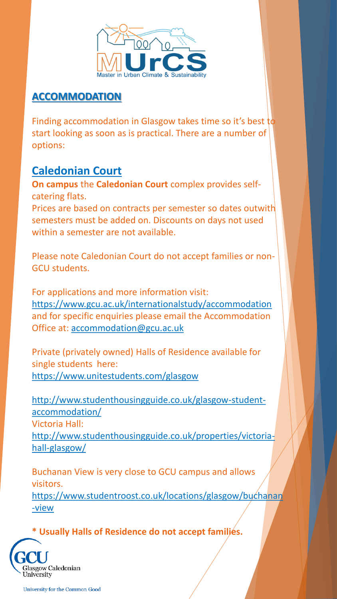

#### **ACCOMMODATION**

Finding accommodation in Glasgow takes time so it's best to start looking as soon as is practical. There are a number of options:

### **Caledonian Court**

**On campus** the **Caledonian Court** complex provides selfcatering flats.

Prices are based on contracts per semester so dates outwith semesters must be added on. Discounts on days not used within a semester are not available.

Please note Caledonian Court do not accept families or non-GCU students.

For applications and more information visit: <https://www.gcu.ac.uk/internationalstudy/accommodation> and for specific enquiries please email the Accommodation Office at: [accommodation@gcu.ac.uk](mailto:accommodation@gcu.ac.uk)

Private (privately owned) Halls of Residence available for single students here: <https://www.unitestudents.com/glasgow>

[http://www.studenthousingguide.co.uk/glasgow-student](http://www.studenthousingguide.co.uk/glasgow-student-accommodation/)accommodation/ Victoria Hall: [http://www.studenthousingguide.co.uk/properties/victoria](http://www.studenthousingguide.co.uk/properties/victoria-hall-glasgow/)hall-glasgow/

Buchanan View is very close to GCU campus and allows visitors. [https://www.studentroost.co.uk/locations/glasgow/buchanan](https://www.studentroost.co.uk/locations/glasgow/buchanan-view)

**\* Usually Halls of Residence do not accept families.**



-view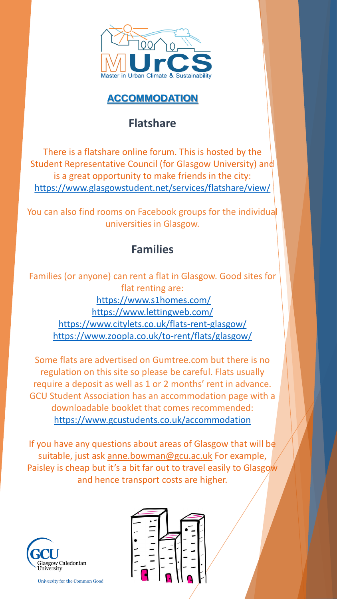

#### **ACCOMMODATION**

### **Flatshare**

There is a flatshare online forum. This is hosted by the Student Representative Council (for Glasgow University) and is a great opportunity to make friends in the city: <https://www.glasgowstudent.net/services/flatshare/view/>

You can also find rooms on Facebook groups for the individual universities in Glasgow.

## **Families**

Families (or anyone) can rent a flat in Glasgow. Good sites for flat renting are: <https://www.s1homes.com/> <https://www.lettingweb.com/> <https://www.citylets.co.uk/flats-rent-glasgow/> <https://www.zoopla.co.uk/to-rent/flats/glasgow/>

Some flats are advertised on Gumtree.com but there is no regulation on this site so please be careful. Flats usually require a deposit as well as 1 or 2 months' rent in advance. GCU Student Association has an accommodation page with a downloadable booklet that comes recommended: <https://www.gcustudents.co.uk/accommodation>

If you have any questions about areas of Glasgow that will be suitable, just ask [anne.bowman@gcu.ac.uk](mailto:anne.bowman@gcu.ac.uk) For example, Paisley is cheap but it's a bit far out to travel easily to Glasgow and hence transport costs are higher.



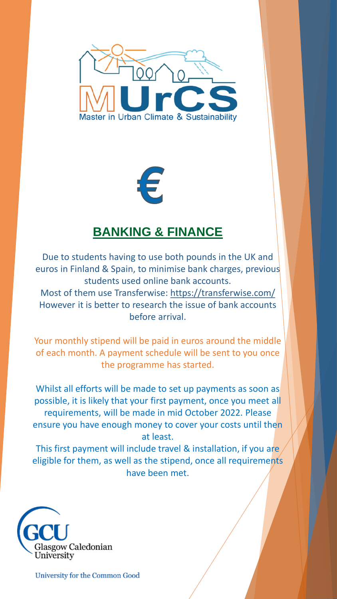

€

## **BANKING & FINANCE**

Due to students having to use both pounds in the UK and euros in Finland & Spain, to minimise bank charges, previous students used online bank accounts. Most of them use Transferwise: <https://transferwise.com/>

However it is better to research the issue of bank accounts before arrival.

Your monthly stipend will be paid in euros around the middle of each month. A payment schedule will be sent to you once the programme has started.

Whilst all efforts will be made to set up payments as soon as possible, it is likely that your first payment, once you meet all requirements, will be made in mid October 2022. Please ensure you have enough money to cover your costs until then at least.

This first payment will include travel & installation, if you are eligible for them, as well as the stipend, once all requirements have been met.

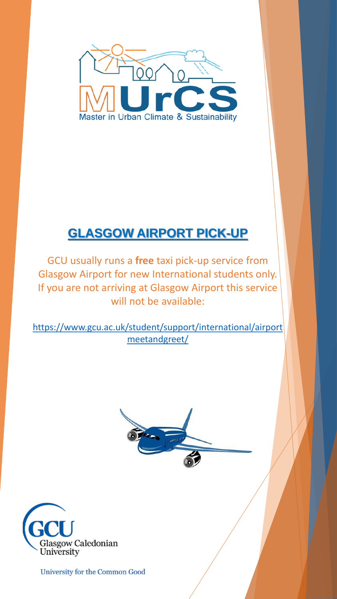

## **GLASGOW AIRPORT PICK-UP**

GCU usually runs a **free** taxi pick-up service from Glasgow Airport for new International students only. If you are not arriving at Glasgow Airport this service will not be available:

[https://www.gcu.ac.uk/student/support/international/airport](https://www.gcu.ac.uk/student/support/international/airportmeetandgreet/) meetandgreet/



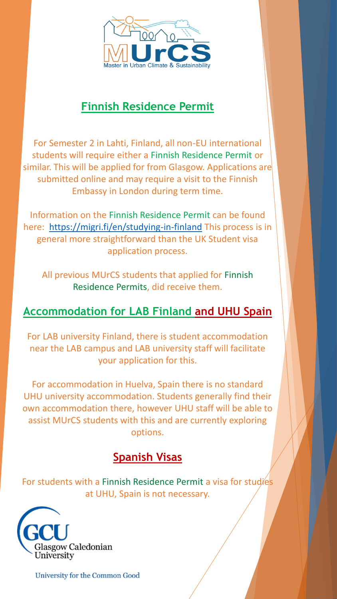

### **Finnish Residence Permit**

For Semester 2 in Lahti, Finland, all non-EU international students will require either a Finnish Residence Permit or similar. This will be applied for from Glasgow. Applications are submitted online and may require a visit to the Finnish Embassy in London during term time.

Information on the Finnish Residence Permit can be found here: <https://migri.fi/en/studying-in-finland> This process is in general more straightforward than the UK Student visa application process.

All previous MUrCS students that applied for Finnish Residence Permits, did receive them.

## **Accommodation for LAB Finland and UHU Spain**

For LAB university Finland, there is student accommodation near the LAB campus and LAB university staff will facilitate your application for this.

For accommodation in Huelva, Spain there is no standard UHU university accommodation. Students generally find their own accommodation there, however UHU staff will be able to assist MUrCS students with this and are currently exploring options.

## **Spanish Visas**

For students with a Finnish Residence Permit a visa for studies at UHU, Spain is not necessary.